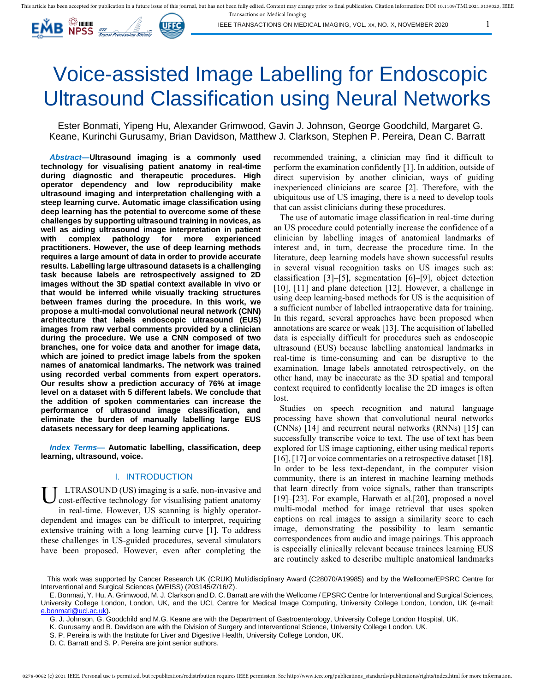

IEEE TRANSACTIONS ON MEDICAL IMAGING, VOL. xx, NO. X, NOVEMBER 2020 1

# Voice-assisted Image Labelling for Endoscopic Ultrasound Classification using Neural Networks

Ester Bonmati, Yipeng Hu, Alexander Grimwood, Gavin J. Johnson, George Goodchild, Margaret G. Keane, Kurinchi Gurusamy, Brian Davidson, Matthew J. Clarkson, Stephen P. Pereira, Dean C. Barratt

*Abstract***—Ultrasound imaging is a commonly used technology for visualising patient anatomy in real-time during diagnostic and therapeutic procedures. High operator dependency and low reproducibility make ultrasound imaging and interpretation challenging with a steep learning curve. Automatic image classification using deep learning has the potential to overcome some of these challenges by supporting ultrasound training in novices, as well as aiding ultrasound image interpretation in patient with complex pathology for more experienced practitioners. However, the use of deep learning methods requires a large amount of data in order to provide accurate results. Labelling large ultrasound datasets is a challenging task because labels are retrospectively assigned to 2D images without the 3D spatial context available in vivo or that would be inferred while visually tracking structures between frames during the procedure. In this work, we propose a multi-modal convolutional neural network (CNN) architecture that labels endoscopic ultrasound (EUS) images from raw verbal comments provided by a clinician during the procedure. We use a CNN composed of two branches, one for voice data and another for image data, which are joined to predict image labels from the spoken names of anatomical landmarks. The network was trained using recorded verbal comments from expert operators. Our results show a prediction accuracy of 76% at image level on a dataset with 5 different labels. We conclude that the addition of spoken commentaries can increase the performance of ultrasound image classification, and eliminate the burden of manually labelling large EUS datasets necessary for deep learning applications.** 

*Index Terms***— Automatic labelling, classification, deep learning, ultrasound, voice.** 

#### I. INTRODUCTION

LTRASOUND (US) imaging is a safe, non-invasive and cost-effective technology for visualising patient anatomy in real-time. However, US scanning is highly operatordependent and images can be difficult to interpret, requiring extensive training with a long learning curve [1]. To address these challenges in US-guided procedures, several simulators have been proposed. However, even after completing the U

recommended training, a clinician may find it difficult to perform the examination confidently [1]. In addition, outside of direct supervision by another clinician, ways of guiding inexperienced clinicians are scarce [2]. Therefore, with the ubiquitous use of US imaging, there is a need to develop tools that can assist clinicians during these procedures.

The use of automatic image classification in real-time during an US procedure could potentially increase the confidence of a clinician by labelling images of anatomical landmarks of interest and, in turn, decrease the procedure time. In the literature, deep learning models have shown successful results in several visual recognition tasks on US images such as: classification [3]–[5], segmentation [6]–[9], object detection [10], [11] and plane detection [12]. However, a challenge in using deep learning-based methods for US is the acquisition of a sufficient number of labelled intraoperative data for training. In this regard, several approaches have been proposed when annotations are scarce or weak [13]. The acquisition of labelled data is especially difficult for procedures such as endoscopic ultrasound (EUS) because labelling anatomical landmarks in real-time is time-consuming and can be disruptive to the examination. Image labels annotated retrospectively, on the other hand, may be inaccurate as the 3D spatial and temporal context required to confidently localise the 2D images is often lost.

Studies on speech recognition and natural language processing have shown that convolutional neural networks (CNNs) [14] and recurrent neural networks (RNNs) [15] can successfully transcribe voice to text. The use of text has been explored for US image captioning, either using medical reports [16], [17] or voice commentaries on a retrospective dataset [18]. In order to be less text-dependant, in the computer vision community, there is an interest in machine learning methods that learn directly from voice signals, rather than transcripts [19]–[23]. For example, Harwath et al.[20], proposed a novel multi-modal method for image retrieval that uses spoken captions on real images to assign a similarity score to each image, demonstrating the possibility to learn semantic correspondences from audio and image pairings. This approach is especially clinically relevant because trainees learning EUS are routinely asked to describe multiple anatomical landmarks

This work was supported by Cancer Research UK (CRUK) Multidisciplinary Award (C28070/A19985) and by the Wellcome/EPSRC Centre for Interventional and Surgical Sciences (WEISS) (203145/Z/16/Z).

E. Bonmati, Y. Hu, A. Grimwood, M. J. Clarkson and D. C. Barratt are with the Wellcome / EPSRC Centre for Interventional and Surgical Sciences, University College London, London, UK, and the UCL Centre for Medical Image Computing, University College London, London, UK (e-mail: [e.bonmati@ucl.ac.uk\)](mailto:e.bonmati@ucl.ac.uk).

G. J. Johnson, G. Goodchild and M.G. Keane are with the Department of Gastroenterology, University College London Hospital, UK.

K. Gurusamy and B. Davidson are with the Division of Surgery and Interventional Science, University College London, UK.

S. P. Pereira is with the Institute for Liver and Digestive Health, University College London, UK.

D. C. Barratt and S. P. Pereira are joint senior authors.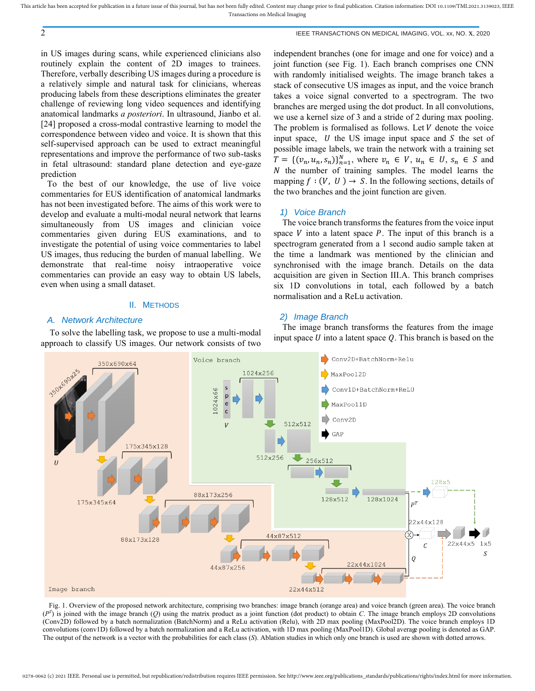2 IEEE TRANSACTIONS ON MEDICAL IMAGING, VOL. xx, NO. x, 2020

in US images during scans, while experienced clinicians also routinely explain the content of 2D images to trainees. Therefore, verbally describing US images during a procedure is a relatively simple and natural task for clinicians, whereas producing labels from these descriptions eliminates the greater challenge of reviewing long video sequences and identifying anatomical landmarks *a posteriori*. In ultrasound, Jianbo et al. [24] proposed a cross-modal contrastive learning to model the correspondence between video and voice. It is shown that this self-supervised approach can be used to extract meaningful representations and improve the performance of two sub-tasks in fetal ultrasound: standard plane detection and eye-gaze prediction

To the best of our knowledge, the use of live voice commentaries for EUS identification of anatomical landmarks has not been investigated before. The aims of this work were to develop and evaluate a multi-modal neural network that learns simultaneously from US images and clinician voice commentaries given during EUS examinations, and to investigate the potential of using voice commentaries to label US images, thus reducing the burden of manual labelling. We demonstrate that real-time noisy intraoperative voice commentaries can provide an easy way to obtain US labels, even when using a small dataset.

# II. METHODS

#### *A. Network Architecture*

To solve the labelling task, we propose to use a multi-modal approach to classify US images. Our network consists of two

independent branches (one for image and one for voice) and a joint function (see [Fig. 1\)](#page-1-0). Each branch comprises one CNN with randomly initialised weights. The image branch takes a stack of consecutive US images as input, and the voice branch takes a voice signal converted to a spectrogram. The two branches are merged using the dot product. In all convolutions, we use a kernel size of 3 and a stride of 2 during max pooling. The problem is formalised as follows. Let  $V$  denote the voice input space,  $U$  the US image input space and  $S$  the set of possible image labels, we train the network with a training set  $T = \{ (v_n, u_n, s_n) \}_{n=1}^N$ , where  $v_n \in V$ ,  $u_n \in U$ ,  $s_n \in S$  and  $N$  the number of training samples. The model learns the mapping  $f : (V, U) \rightarrow S$ . In the following sections, details of the two branches and the joint function are given.

## *1) Voice Branch*

The voice branch transforms the features from the voice input space  $V$  into a latent space  $P$ . The input of this branch is a spectrogram generated from a 1 second audio sample taken at the time a landmark was mentioned by the clinician and synchronised with the image branch. Details on the data acquisition are given in Section [III.A.](#page-2-0) This branch comprises six 1D convolutions in total, each followed by a batch normalisation and a ReLu activation.

#### *2) Image Branch*

The image branch transforms the features from the image input space  $U$  into a latent space  $Q$ . This branch is based on the



<span id="page-1-0"></span>Fig. 1. Overview of the proposed network architecture, comprising two branches: image branch (orange area) and voice branch (green area). The voice branch  $(P^T)$  is joined with the image branch (*Q*) using the matrix product as a joint function (dot product) to obtain *C*. The image branch employs 2D convolutions (Conv2D) followed by a batch normalization (BatchNorm) and a ReLu activation (Relu), with 2D max pooling (MaxPool2D). The voice branch employs 1D convolutions (conv1D) followed by a batch normalization and a ReLu activation, with 1D max pooling (MaxPool1D). Global average pooling is denoted as GAP. The output of the network is a vector with the probabilities for each class (*S*). Ablation studies in which only one branch is used are shown with dotted arrows.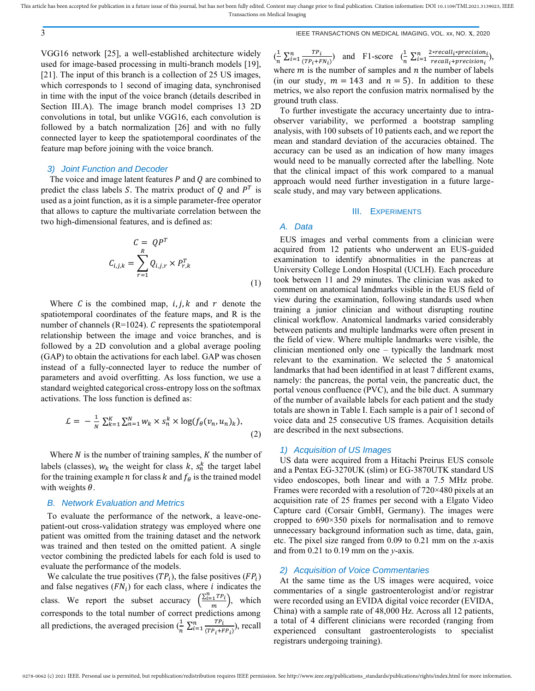VGG16 network [25], a well-established architecture widely used for image-based processing in multi-branch models [19], [21]. The input of this branch is a collection of 25 US images, which corresponds to 1 second of imaging data, synchronised in time with the input of the voice branch (details described in Section [III.A\)](#page-2-0). The image branch model comprises 13 2D convolutions in total, but unlike VGG16, each convolution is followed by a batch normalization [26] and with no fully connected layer to keep the spatiotemporal coordinates of the feature map before joining with the voice branch.

#### *3) Joint Function and Decoder*

The voice and image latent features  $P$  and  $Q$  are combined to predict the class labels S. The matrix product of  $Q$  and  $P<sup>T</sup>$  is used as a joint function, as it is a simple parameter-free operator that allows to capture the multivariate correlation between the two high-dimensional features, and is defined as:

$$
C = QPT
$$
  

$$
C_{i,j,k} = \sum_{r=1}^{R} Q_{i,j,r} \times P_{r,k}^{T}
$$
 (1)

Where C is the combined map,  $i, j, k$  and  $r$  denote the spatiotemporal coordinates of the feature maps, and R is the number of channels ( $R=1024$ ).  $C$  represents the spatiotemporal relationship between the image and voice branches, and is followed by a 2D convolution and a global average pooling (GAP) to obtain the activations for each label. GAP was chosen instead of a fully-connected layer to reduce the number of parameters and avoid overfitting. As loss function, we use a standard weighted categorical cross-entropy loss on the softmax activations. The loss function is defined as:

$$
\mathcal{L} = -\frac{1}{N} \sum_{k=1}^{K} \sum_{n=1}^{N} w_k \times s_n^k \times \log(f_\theta(v_n, u_n)_k),
$$
\n(2)

Where  $N$  is the number of training samples,  $K$  the number of labels (classes),  $w_k$  the weight for class  $k$ ,  $s_n^k$  the target label for the training example *n* for class *k* and  $f_{\theta}$  is the trained model with weights  $\theta$ .

## *B. Network Evaluation and Metrics*

To evaluate the performance of the network, a leave-onepatient-out cross-validation strategy was employed where one patient was omitted from the training dataset and the network was trained and then tested on the omitted patient. A single vector combining the predicted labels for each fold is used to evaluate the performance of the models.

We calculate the true positives  $(TP_i)$ , the false positives  $(FP_i)$ and false negatives  $(FN_i)$  for each class, where *i* indicates the class. We report the subset accuracy  $\left(\frac{\sum_{i=1}^{n} TP_i}{n}\right)$  $\binom{n^{1}+1}{m}$ , which corresponds to the total number of correct predictions among all predictions, the averaged precision  $(\frac{1}{n})$  ∑  $(TP_i+FP_i)$  $\frac{TP_i}{(TP_i+FP_i)}$ , recall

 $\left(\frac{1}{\cdot}\right)$  $rac{1}{n} \sum_{i=1}^{n} \frac{TP_i}{(TP_i + F_i)}$  $(TP_i+FN_i)$  $\frac{r}{i} = 1 \frac{TP_i}{(TP_i + FN_i)}$  and F1-score  $\left(\frac{1}{n}\right)$  $\frac{1}{n} \sum_{i=1}^{n} \frac{2*recall_i*precision_i}{recall_i+precision_i}$ recall<sub>i</sub>+precision<sub>i</sub>  $\frac{1}{i} = 1 \frac{2*recall_i*precision_i}{recall+precision_i},$ where  $m$  is the number of samples and  $n$  the number of labels (in our study,  $m = 143$  and  $n = 5$ ). In addition to these metrics, we also report the confusion matrix normalised by the ground truth class.

To further investigate the accuracy uncertainty due to intraobserver variability, we performed a bootstrap sampling analysis, with 100 subsets of 10 patients each, and we report the mean and standard deviation of the accuracies obtained. The accuracy can be used as an indication of how many images would need to be manually corrected after the labelling. Note that the clinical impact of this work compared to a manual approach would need further investigation in a future largescale study, and may vary between applications.

#### III. EXPERIMENTS

# <span id="page-2-0"></span>*A. Data*

EUS images and verbal comments from a clinician were acquired from 12 patients who underwent an EUS-guided examination to identify abnormalities in the pancreas at University College London Hospital (UCLH). Each procedure took between 11 and 29 minutes. The clinician was asked to comment on anatomical landmarks visible in the EUS field of view during the examination, following standards used when training a junior clinician and without disrupting routine clinical workflow. Anatomical landmarks varied considerably between patients and multiple landmarks were often present in the field of view. Where multiple landmarks were visible, the clinician mentioned only one – typically the landmark most relevant to the examination. We selected the 5 anatomical landmarks that had been identified in at least 7 different exams, namely: the pancreas, the portal vein, the pancreatic duct, the portal venous confluence (PVC), and the bile duct. A summary of the number of available labels for each patient and the study totals are shown in Table I. Each sample is a pair of 1 second of voice data and 25 consecutive US frames. Acquisition details are described in the next subsections.

#### *1) Acquisition of US Images*

US data were acquired from a Hitachi Preirus EUS console and a Pentax EG-3270UK (slim) or EG-3870UTK standard US video endoscopes, both linear and with a 7.5 MHz probe. Frames were recorded with a resolution of 720×480 pixels at an acquisition rate of 25 frames per second with a Elgato Video Capture card (Corsair GmbH, Germany). The images were cropped to 690×350 pixels for normalisation and to remove unnecessary background information such as time, data, gain, etc. The pixel size ranged from 0.09 to 0.21 mm on the *x*-axis and from 0.21 to 0.19 mm on the *y*-axis.

#### *2) Acquisition of Voice Commentaries*

At the same time as the US images were acquired, voice commentaries of a single gastroenterologist and/or registrar were recorded using an EVIDA digital voice recorder (EVIDA, China) with a sample rate of 48,000 Hz. Across all 12 patients, a total of 4 different clinicians were recorded (ranging from experienced consultant gastroenterologists to specialist registrars undergoing training).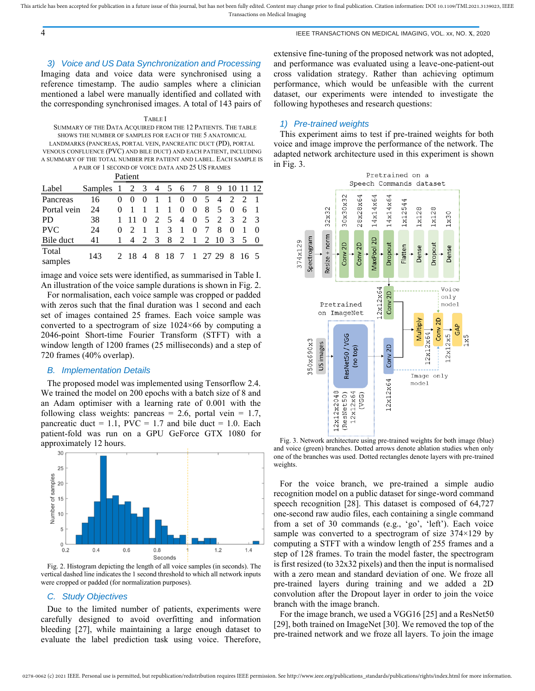## 4 IEEE TRANSACTIONS ON MEDICAL IMAGING, VOL. xx, NO. x, 2020

## *3) Voice and US Data Synchronization and Processing*

Imaging data and voice data were synchronised using a reference timestamp. The audio samples where a clinician mentioned a label were manually identified and collated with the corresponding synchronised images. A total of 143 pairs of

#### <span id="page-3-0"></span>TABLE I SUMMARY OF THE DATA ACQUIRED FROM THE 12 PATIENTS. THE TABLE SHOWS THE NUMBER OF SAMPLES FOR EACH OF THE 5 ANATOMICAL LANDMARKS (PANCREAS, PORTAL VEIN, PANCREATIC DUCT (PD), PORTAL VENOUS CONFLUENCE (PVC) AND BILE DUCT) AND EACH PATIENT, INCLUDING A SUMMARY OF THE TOTAL NUMBER PER PATIENT AND LABEL. EACH SAMPLE IS A PAIR OF 1 SECOND OF VOICE DATA AND 25 US FRAMES Patient

|                  |         |          | Patient                      |                             |               |                |                |          |   |      |               |                |               |
|------------------|---------|----------|------------------------------|-----------------------------|---------------|----------------|----------------|----------|---|------|---------------|----------------|---------------|
| Label            | Samples |          |                              | 3                           | 4             | 5              | 6              |          | 8 | 9    |               |                | 12            |
| Pancreas         | 16      | $\Omega$ | $\theta$                     | $\theta$                    | 1             | 1              | 0              | $\Omega$ | 5 | 4    | - 2           | $\mathcal{D}$  |               |
| Portal vein      | 24      | 0        |                              |                             |               | 1              | 0              | $\theta$ | 8 | -5   | $\theta$      | 6              |               |
| <b>PD</b>        | 38      |          |                              | $\Omega$                    | $2^{\circ}$   | 5 <sup>5</sup> | $\overline{4}$ | $\Omega$ | 5 | 2    | $\mathcal{E}$ | $\mathcal{L}$  | $\mathcal{R}$ |
| <b>PVC</b>       | 24      |          |                              |                             |               | 3              | 1              | 0        |   | 8    | $\theta$      |                |               |
| Bile duct        | 41      |          | $\overline{4}$               | $\mathcal{D}_{\mathcal{L}}$ | $\mathcal{R}$ | 8              | $\mathcal{L}$  | -1       |   | 2 10 | $\mathcal{R}$ | 5 <sup>5</sup> | - 0           |
| Total<br>samples | 143     |          | 2 18 4 8 18 7 1 27 29 8 16 5 |                             |               |                |                |          |   |      |               |                |               |

image and voice sets were identified, as summarised in [Table I.](#page-3-0)  An illustration of the voice sample durations is shown i[n Fig. 2.](#page-3-1)

For normalisation, each voice sample was cropped or padded with zeros such that the final duration was 1 second and each set of images contained 25 frames. Each voice sample was converted to a spectrogram of size 1024×66 by computing a 2046-point Short-time Fourier Transform (STFT) with a window length of 1200 frames (25 milliseconds) and a step of 720 frames (40% overlap).

#### *B. Implementation Details*

The proposed model was implemented using Tensorflow 2.4. We trained the model on 200 epochs with a batch size of 8 and an Adam optimiser with a learning rate of 0.001 with the following class weights: pancreas = 2.6, portal vein =  $1.7$ , pancreatic duct = 1.1,  $\text{PVC} = 1.7$  and bile duct = 1.0. Each patient-fold was run on a GPU GeForce GTX 1080 for approximately 12 hours.



<span id="page-3-1"></span>Fig. 2. Histogram depicting the length of all voice samples (in seconds). The vertical dashed line indicates the 1 second threshold to which all network inputs were cropped or padded (for normalization purposes).

#### *C. Study Objectives*

Due to the limited number of patients, experiments were carefully designed to avoid overfitting and information bleeding [27], while maintaining a large enough dataset to evaluate the label prediction task using voice. Therefore,

extensive fine-tuning of the proposed network was not adopted, and performance was evaluated using a leave-one-patient-out cross validation strategy. Rather than achieving optimum performance, which would be unfeasible with the current dataset, our experiments were intended to investigate the following hypotheses and research questions:

#### *1) Pre-trained weights*

This experiment aims to test if pre-trained weights for both voice and image improve the performance of the network. The adapted network architecture used in this experiment is shown i[n Fig. 3.](#page-3-2)



<span id="page-3-2"></span>Fig. 3. Network architecture using pre-trained weights for both image (blue) and voice (green) branches. Dotted arrows denote ablation studies when only one of the branches was used. Dotted rectangles denote layers with pre-trained weights.

For the voice branch, we pre-trained a simple audio recognition model on a public dataset for singe-word command speech recognition [28]. This dataset is composed of 64,727 one-second raw audio files, each containing a single command from a set of 30 commands (e.g., 'go', 'left'). Each voice sample was converted to a spectrogram of size  $374\times129$  by computing a STFT with a window length of 255 frames and a step of 128 frames. To train the model faster, the spectrogram is first resized (to 32x32 pixels) and then the input is normalised with a zero mean and standard deviation of one. We froze all pre-trained layers during training and we added a 2D convolution after the Dropout layer in order to join the voice branch with the image branch.

For the image branch, we used a VGG16 [25] and a ResNet50 [29], both trained on ImageNet [30]. We removed the top of the pre-trained network and we froze all layers. To join the image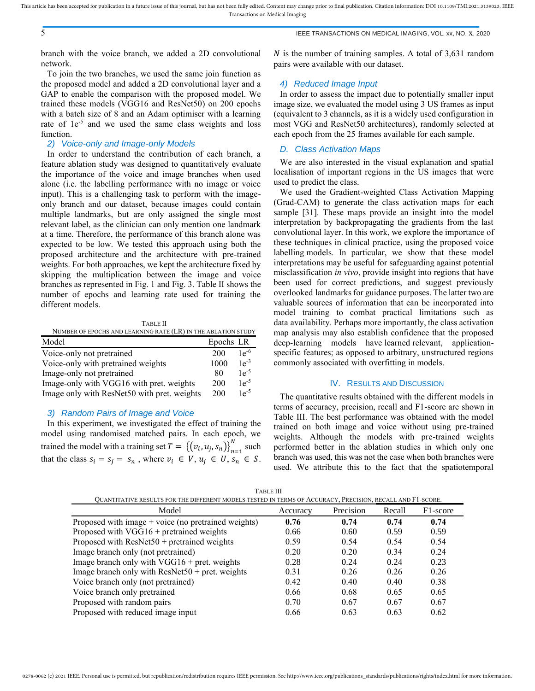## 5 IEEE TRANSACTIONS ON MEDICAL IMAGING, VOL. xx, NO. x, 2020

branch with the voice branch, we added a 2D convolutional network.

To join the two branches, we used the same join function as the proposed model and added a 2D convolutional layer and a GAP to enable the comparison with the proposed model. We trained these models (VGG16 and ResNet50) on 200 epochs with a batch size of 8 and an Adam optimiser with a learning rate of  $1e^{-5}$  and we used the same class weights and loss function.

## *2) Voice-only and Image-only Models*

In order to understand the contribution of each branch, a feature ablation study was designed to quantitatively evaluate the importance of the voice and image branches when used alone (i.e. the labelling performance with no image or voice input). This is a challenging task to perform with the imageonly branch and our dataset, because images could contain multiple landmarks, but are only assigned the single most relevant label, as the clinician can only mention one landmark at a time. Therefore, the performance of this branch alone was expected to be low. We tested this approach using both the proposed architecture and the architecture with pre-trained weights. For both approaches, we kept the architecture fixed by skipping the multiplication between the image and voice branches as represented in [Fig. 1](#page-1-0) an[d Fig. 3.](#page-3-2) [Table II](#page-4-0) shows the number of epochs and learning rate used for training the different models.

<span id="page-4-0"></span>

| <b>TABLE II</b>                                               |           |           |  |  |  |  |
|---------------------------------------------------------------|-----------|-----------|--|--|--|--|
| NUMBER OF EPOCHS AND LEARNING RATE (LR) IN THE ABLATION STUDY |           |           |  |  |  |  |
| Model                                                         | Epochs LR |           |  |  |  |  |
| Voice-only not pretrained                                     | 200       | $1e^{-6}$ |  |  |  |  |
| Voice-only with pretrained weights                            | 1000      | $1e^{-3}$ |  |  |  |  |
| Image-only not pretrained                                     | 80        | $1e^{-5}$ |  |  |  |  |
| Image-only with VGG16 with pret. weights                      | 200       | $1e^{-5}$ |  |  |  |  |
| Image only with ResNet50 with pret. weights                   | 200       | $1e^{-5}$ |  |  |  |  |

#### *3) Random Pairs of Image and Voice*

In this experiment, we investigated the effect of training the model using randomised matched pairs. In each epoch, we trained the model with a training set  $T = \{ (v_i, u_j, s_n) \}_{n=1}^N$  $\sum_{n=1}^{N}$  such that the class  $s_i = s_j = s_n$ , where  $v_i \in V$ ,  $u_j \in U$ ,  $s_n \in S$ .

N is the number of training samples. A total of  $3,631$  random pairs were available with our dataset.

#### *4) Reduced Image Input*

In order to assess the impact due to potentially smaller input image size, we evaluated the model using 3 US frames as input (equivalent to 3 channels, as it is a widely used configuration in most VGG and ResNet50 architectures), randomly selected at each epoch from the 25 frames available for each sample.

#### *D. Class Activation Maps*

We are also interested in the visual explanation and spatial localisation of important regions in the US images that were used to predict the class.

We used the Gradient-weighted Class Activation Mapping (Grad-CAM) to generate the class activation maps for each sample [31]. These maps provide an insight into the model interpretation by backpropagating the gradients from the last convolutional layer. In this work, we explore the importance of these techniques in clinical practice, using the proposed voice labelling models. In particular, we show that these model interpretations may be useful for safeguarding against potential misclassification *in vivo*, provide insight into regions that have been used for correct predictions, and suggest previously overlooked landmarks for guidance purposes. The latter two are valuable sources of information that can be incorporated into model training to combat practical limitations such as data availability. Perhaps more importantly, the class activation map analysis may also establish confidence that the proposed deep-learning models have learned relevant, applicationspecific features; as opposed to arbitrary, unstructured regions commonly associated with overfitting in models.

# IV. RESULTS AND DISCUSSION

The quantitative results obtained with the different models in terms of accuracy, precision, recall and F1-score are shown in [Table III.](#page-4-1) The best performance was obtained with the model trained on both image and voice without using pre-trained weights. Although the models with pre-trained weights performed better in the ablation studies in which only one branch was used, this was not the case when both branches were used. We attribute this to the fact that the spatiotemporal

<span id="page-4-1"></span>

| Model                                                  | Accuracy | Precision | Recall | F1-score |
|--------------------------------------------------------|----------|-----------|--------|----------|
| Proposed with image $+$ voice (no pretrained weights)  | 0.76     | 0.74      | 0.74   | 0.74     |
| Proposed with $VGG16 +$ pretrained weights             | 0.66     | 0.60      | 0.59   | 0.59     |
| Proposed with $ResNet50 + pretrained$ weights          | 0.59     | 0.54      | 0.54   | 0.54     |
| Image branch only (not pretrained)                     | 0.20     | 0.20      | 0.34   | 0.24     |
| Image branch only with $VGG16 + \text{pret}$ . weights | 0.28     | 0.24      | 0.24   | 0.23     |
| Image branch only with $ResNet50 + pret$ . weights     | 0.31     | 0.26      | 0.26   | 0.26     |
| Voice branch only (not pretrained)                     | 0.42     | 0.40      | 0.40   | 0.38     |
| Voice branch only pretrained                           | 0.66     | 0.68      | 0.65   | 0.65     |
| Proposed with random pairs                             | 0.70     | 0.67      | 0.67   | 0.67     |
| Proposed with reduced image input                      | 0.66     | 0.63      | 0.63   | 0.62     |

TABLE III QUANTITATIVE RESULTS FOR THE DIFFERENT MODELS TESTED IN TERMS OF ACCURACY, PRECISION, RECALL AND F1-SCORE.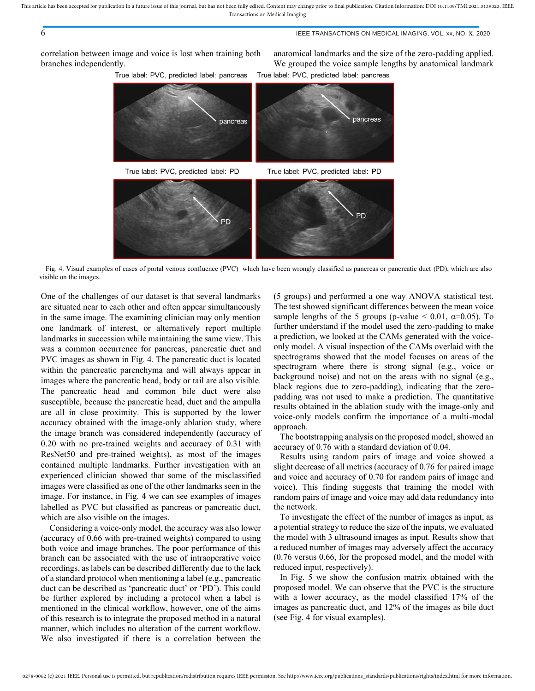## 6 IEEE TRANSACTIONS ON MEDICAL IMAGING, VOL. xx, NO. x, 2020

correlation between image and voice is lost when training both branches independently.

True label: PVC, predicted label: pancreas

anatomical landmarks and the size of the zero-padding applied. We grouped the voice sample lengths by anatomical landmark True label: PVC, predicted label: pancreas



<span id="page-5-0"></span>Fig. 4. Visual examples of cases of portal venous confluence (PVC) which have been wrongly classified as pancreas or pancreatic duct (PD), which are also visible on the images.

One of the challenges of our dataset is that several landmarks are situated near to each other and often appear simultaneously in the same image. The examining clinician may only mention one landmark of interest, or alternatively report multiple landmarks in succession while maintaining the same view. This was a common occurrence for pancreas, pancreatic duct and PVC images as shown in [Fig. 4.](#page-5-0) The pancreatic duct is located within the pancreatic parenchyma and will always appear in images where the pancreatic head, body or tail are also visible. The pancreatic head and common bile duct were also susceptible, because the pancreatic head, duct and the ampulla are all in close proximity. This is supported by the lower accuracy obtained with the image-only ablation study, where the image branch was considered independently (accuracy of 0.20 with no pre-trained weights and accuracy of 0.31 with ResNet50 and pre-trained weights), as most of the images contained multiple landmarks. Further investigation with an experienced clinician showed that some of the misclassified images were classified as one of the other landmarks seen in the image. For instance, in [Fig. 4](#page-5-0) we can see examples of images labelled as PVC but classified as pancreas or pancreatic duct, which are also visible on the images.

Considering a voice-only model, the accuracy was also lower (accuracy of 0.66 with pre-trained weights) compared to using both voice and image branches. The poor performance of this branch can be associated with the use of intraoperative voice recordings, as labels can be described differently due to the lack of a standard protocol when mentioning a label (e.g., pancreatic duct can be described as 'pancreatic duct' or 'PD'). This could be further explored by including a protocol when a label is mentioned in the clinical workflow, however, one of the aims of this research is to integrate the proposed method in a natural manner, which includes no alteration of the current workflow. We also investigated if there is a correlation between the

(5 groups) and performed a one way ANOVA statistical test. The test showed significant differences between the mean voice sample lengths of the 5 groups (p-value  $< 0.01$ ,  $\alpha = 0.05$ ). To further understand if the model used the zero-padding to make a prediction, we looked at the CAMs generated with the voiceonly model. A visual inspection of the CAMs overlaid with the spectrograms showed that the model focuses on areas of the spectrogram where there is strong signal (e.g., voice or background noise) and not on the areas with no signal (e.g., black regions due to zero-padding), indicating that the zeropadding was not used to make a prediction. The quantitative results obtained in the ablation study with the image-only and voice-only models confirm the importance of a multi-modal approach.

The bootstrapping analysis on the proposed model, showed an accuracy of 0.76 with a standard deviation of 0.04.

Results using random pairs of image and voice showed a slight decrease of all metrics (accuracy of 0.76 for paired image and voice and accuracy of 0.70 for random pairs of image and voice). This finding suggests that training the model with random pairs of image and voice may add data redundancy into the network.

To investigate the effect of the number of images as input, as a potential strategy to reduce the size of the inputs, we evaluated the model with 3 ultrasound images as input. Results show that a reduced number of images may adversely affect the accuracy (0.76 versus 0.66, for the proposed model, and the model with reduced input, respectively).

In [Fig. 5](#page-6-0) we show the confusion matrix obtained with the proposed model. We can observe that the PVC is the structure with a lower accuracy, as the model classified 17% of the images as pancreatic duct, and 12% of the images as bile duct (see [Fig. 4](#page-5-0) for visual examples).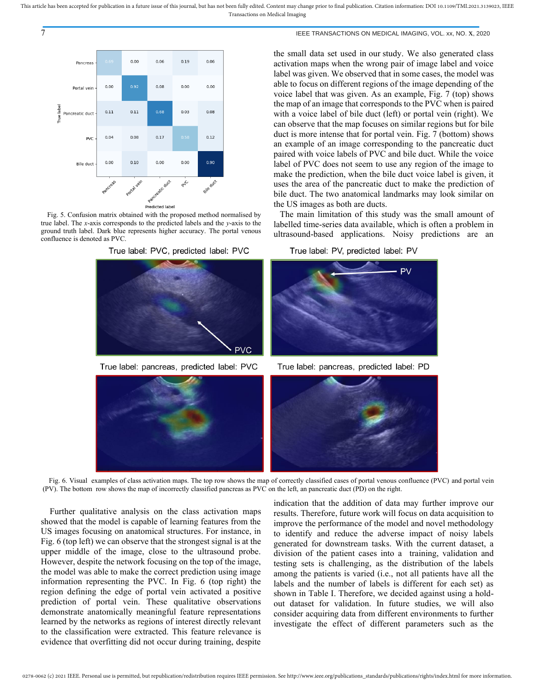THE TRANSACTIONS ON MEDICAL IMAGING, VOL. xx, NO. X, 2020



<span id="page-6-0"></span>Fig. 5. Confusion matrix obtained with the proposed method normalised by true label. The *x*-axis corresponds to the predicted labels and the *y*-axis to the ground truth label. Dark blue represents higher accuracy. The portal venous confluence is denoted as PVC.



True label: pancreas, predicted label: PVC

the small data set used in our study. We also generated class activation maps when the wrong pair of image label and voice label was given. We observed that in some cases, the model was able to focus on different regions of the image depending of the voice label that was given. As an example, [Fig. 7](#page-7-0) (top) shows the map of an image that corresponds to the PVC when is paired with a voice label of bile duct (left) or portal vein (right). We can observe that the map focuses on similar regions but for bile duct is more intense that for portal vein. [Fig. 7](#page-7-0) (bottom) shows an example of an image corresponding to the pancreatic duct paired with voice labels of PVC and bile duct. While the voice label of PVC does not seem to use any region of the image to make the prediction, when the bile duct voice label is given, it uses the area of the pancreatic duct to make the prediction of bile duct. The two anatomical landmarks may look similar on the US images as both are ducts.

The main limitation of this study was the small amount of labelled time-series data available, which is often a problem in ultrasound-based applications. Noisy predictions are an

True label: PV, predicted label: PV



True label: pancreas, predicted label: PD



Fig. 6. Visual examples of class activation maps. The top row shows the map of correctly classified cases of portal venous confluence (PVC) and portal vein (PV). The bottom row shows the map of incorrectly classified pancreas as PVC on the left, an pancreatic duct (PD) on the right.

<span id="page-6-1"></span>Further qualitative analysis on the class activation maps showed that the model is capable of learning features from the US images focusing on anatomical structures. For instance, in [Fig. 6](#page-6-1) (top left) we can observe that the strongest signal is at the upper middle of the image, close to the ultrasound probe. However, despite the network focusing on the top of the image, the model was able to make the correct prediction using image information representing the PVC. In [Fig. 6](#page-6-1) (top right) the region defining the edge of portal vein activated a positive prediction of portal vein. These qualitative observations demonstrate anatomically meaningful feature representations learned by the networks as regions of interest directly relevant to the classification were extracted. This feature relevance is evidence that overfitting did not occur during training, despite

indication that the addition of data may further improve our results. Therefore, future work will focus on data acquisition to improve the performance of the model and novel methodology to identify and reduce the adverse impact of noisy labels generated for downstream tasks. With the current dataset, a division of the patient cases into a training, validation and testing sets is challenging, as the distribution of the labels among the patients is varied (i.e., not all patients have all the labels and the number of labels is different for each set) as shown in [Table I.](#page-3-0) Therefore, we decided against using a holdout dataset for validation. In future studies, we will also consider acquiring data from different environments to further investigate the effect of different parameters such as the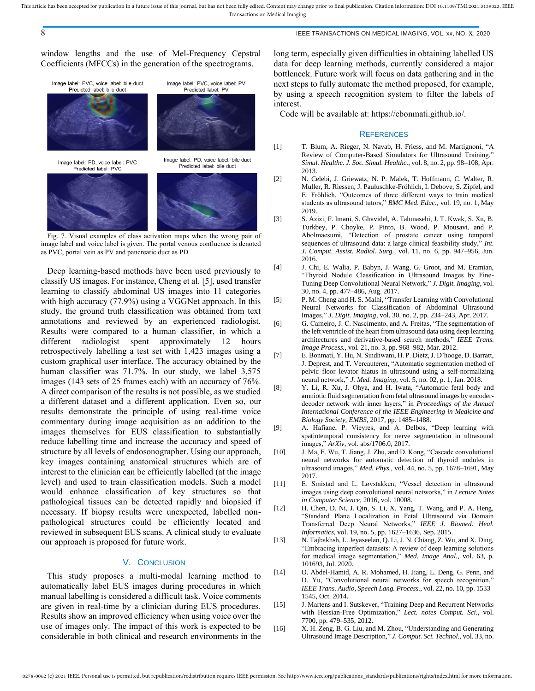## 8 IEEE TRANSACTIONS ON MEDICAL IMAGING, VOL. xx, NO. x, 2020

window lengths and the use of Mel-Frequency Cepstral Coefficients (MFCCs) in the generation of the spectrograms.



<span id="page-7-0"></span>Fig. 7. Visual examples of class activation maps when the wrong pair of image label and voice label is given. The portal venous confluence is denoted as PVC, portal vein as PV and pancreatic duct as PD.

Deep learning-based methods have been used previously to classify US images. For instance, Cheng et al. [5], used transfer learning to classify abdominal US images into 11 categories with high accuracy (77.9%) using a VGGNet approach. In this study, the ground truth classification was obtained from text annotations and reviewed by an experienced radiologist. Results were compared to a human classifier, in which a different radiologist spent approximately 12 hours retrospectively labelling a test set with 1,423 images using a custom graphical user interface. The accuracy obtained by the human classifier was 71.7%. In our study, we label 3,575 images (143 sets of 25 frames each) with an accuracy of 76%. A direct comparison of the results is not possible, as we studied a different dataset and a different application. Even so, our results demonstrate the principle of using real-time voice commentary during image acquisition as an addition to the images themselves for EUS classification to substantially reduce labelling time and increase the accuracy and speed of structure by all levels of endosonographer. Using our approach, key images containing anatomical structures which are of interest to the clinician can be efficiently labelled (at the image level) and used to train classification models. Such a model would enhance classification of key structures so that pathological tissues can be detected rapidly and biopsied if necessary. If biopsy results were unexpected, labelled nonpathological structures could be efficiently located and reviewed in subsequent EUS scans. A clinical study to evaluate our approach is proposed for future work.

# V. CONCLUSION

This study proposes a multi-modal learning method to automatically label EUS images during procedures in which manual labelling is considered a difficult task. Voice comments are given in real-time by a clinician during EUS procedures. Results show an improved efficiency when using voice over the use of images only. The impact of this work is expected to be considerable in both clinical and research environments in the

long term, especially given difficulties in obtaining labelled US data for deep learning methods, currently considered a major bottleneck. Future work will focus on data gathering and in the next steps to fully automate the method proposed, for example, by using a speech recognition system to filter the labels of interest.

Code will be available at: https://ebonmati.github.io/.

#### **REFERENCES**

- [1] T. Blum, A. Rieger, N. Navab, H. Friess, and M. Martignoni, "A Review of Computer-Based Simulators for Ultrasound Training," *Simul. Healthc. J. Soc. Simul. Healthc.*, vol. 8, no. 2, pp. 98–108, Apr. 2013.
- [2] N. Celebi, J. Griewatz, N. P. Malek, T. Hoffmann, C. Walter, R. Muller, R. Riessen, J. Pauluschke-Fröhlich, I. Debove, S. Zipfel, and E. Fröhlich, "Outcomes of three different ways to train medical students as ultrasound tutors," *BMC Med. Educ.*, vol. 19, no. 1, May 2019.
- [3] S. Azizi, F. Imani, S. Ghavidel, A. Tahmasebi, J. T. Kwak, S. Xu, B. Turkbey, P. Choyke, P. Pinto, B. Wood, P. Mousavi, and P. Abolmaesumi, "Detection of prostate cancer using temporal sequences of ultrasound data: a large clinical feasibility study," *Int. J. Comput. Assist. Radiol. Surg.*, vol. 11, no. 6, pp. 947–956, Jun. 2016.
- [4] J. Chi, E. Walia, P. Babyn, J. Wang, G. Groot, and M. Eramian, "Thyroid Nodule Classification in Ultrasound Images by Fine-Tuning Deep Convolutional Neural Network," *J. Digit. Imaging*, vol. 30, no. 4, pp. 477–486, Aug. 2017.
- [5] P. M. Cheng and H. S. Malhi, "Transfer Learning with Convolutional Neural Networks for Classification of Abdominal Ultrasound Images," *J. Digit. Imaging*, vol. 30, no. 2, pp. 234–243, Apr. 2017.
- [6] G. Carneiro, J. C. Nascimento, and A. Freitas, "The segmentation of the left ventricle of the heart from ultrasound data using deep learning architectures and derivative-based search methods," *IEEE Trans. Image Process.*, vol. 21, no. 3, pp. 968–982, Mar. 2012.
- [7] E. Bonmati, Y. Hu, N. Sindhwani, H. P. Dietz, J. D'hooge, D. Barratt, J. Deprest, and T. Vercauteren, "Automatic segmentation method of pelvic floor levator hiatus in ultrasound using a self-normalizing neural network," *J. Med. Imaging*, vol. 5, no. 02, p. 1, Jan. 2018.
- [8] Y. Li, R. Xu, J. Ohya, and H. Iwata, "Automatic fetal body and amniotic fluid segmentation from fetal ultrasound images by encoderdecoder network with inner layers," in *Proceedings of the Annual International Conference of the IEEE Engineering in Medicine and Biology Society, EMBS*, 2017, pp. 1485–1488.
- [9] A. Hafiane, P. Vieyres, and A. Delbos, "Deep learning with spatiotemporal consistency for nerve segmentation in ultrasound images," *ArXiv*, vol. abs/1706.0, 2017.
- [10] J. Ma, F. Wu, T. Jiang, J. Zhu, and D. Kong, "Cascade convolutional neural networks for automatic detection of thyroid nodules in ultrasound images," *Med. Phys.*, vol. 44, no. 5, pp. 1678–1691, May 2017.
- [11] E. Smistad and L. Løvstakken, "Vessel detection in ultrasound images using deep convolutional neural networks," in *Lecture Notes in Computer Science*, 2016, vol. 10008.
- [12] H. Chen, D. Ni, J. Qin, S. Li, X. Yang, T. Wang, and P. A. Heng, "Standard Plane Localization in Fetal Ultrasound via Domain Transferred Deep Neural Networks," *IEEE J. Biomed. Heal. Informatics*, vol. 19, no. 5, pp. 1627–1636, Sep. 2015.
- [13] N. Tajbakhsh, L. Jeyaseelan, Q. Li, J. N. Chiang, Z. Wu, and X. Ding, "Embracing imperfect datasets: A review of deep learning solutions for medical image segmentation," *Med. Image Anal.*, vol. 63, p. 101693, Jul. 2020.
- [14] O. Abdel-Hamid, A. R. Mohamed, H. Jiang, L. Deng, G. Penn, and D. Yu, "Convolutional neural networks for speech recognition," *IEEE Trans. Audio, Speech Lang. Process.*, vol. 22, no. 10, pp. 1533– 1545, Oct. 2014.
- [15] J. Martens and I. Sutskever, "Training Deep and Recurrent Networks with Hessian-Free Optimization," *Lect. notes Comput. Sci.*, vol. 7700, pp. 479–535, 2012.
- [16] X. H. Zeng, B. G. Liu, and M. Zhou, "Understanding and Generating Ultrasound Image Description," *J. Comput. Sci. Technol.*, vol. 33, no.